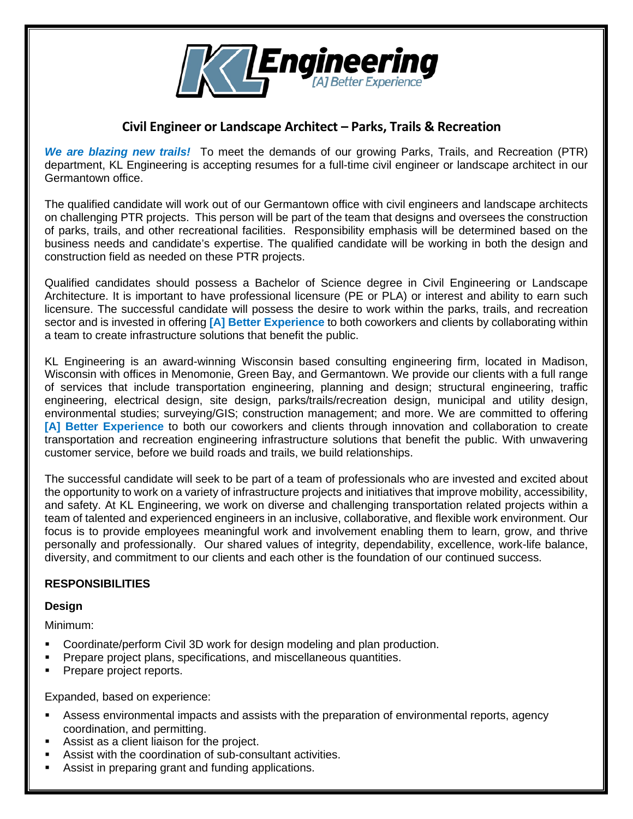

## **Civil Engineer or Landscape Architect – Parks, Trails & Recreation**

*We are blazing new trails!* To meet the demands of our growing Parks, Trails, and Recreation (PTR) department, KL Engineering is accepting resumes for a full-time civil engineer or landscape architect in our Germantown office.

The qualified candidate will work out of our Germantown office with civil engineers and landscape architects on challenging PTR projects. This person will be part of the team that designs and oversees the construction of parks, trails, and other recreational facilities. Responsibility emphasis will be determined based on the business needs and candidate's expertise. The qualified candidate will be working in both the design and construction field as needed on these PTR projects.

Qualified candidates should possess a Bachelor of Science degree in Civil Engineering or Landscape Architecture. It is important to have professional licensure (PE or PLA) or interest and ability to earn such licensure. The successful candidate will possess the desire to work within the parks, trails, and recreation sector and is invested in offering **[A] Better Experience** to both coworkers and clients by collaborating within a team to create infrastructure solutions that benefit the public.

KL Engineering is an award-winning Wisconsin based consulting engineering firm, located in Madison, Wisconsin with offices in Menomonie, Green Bay, and Germantown. We provide our clients with a full range of services that include transportation engineering, planning and design; structural engineering, traffic engineering, electrical design, site design, parks/trails/recreation design, municipal and utility design, environmental studies; surveying/GIS; construction management; and more. We are committed to offering **[A] Better Experience** to both our coworkers and clients through innovation and collaboration to create transportation and recreation engineering infrastructure solutions that benefit the public. With unwavering customer service, before we build roads and trails, we build relationships.

The successful candidate will seek to be part of a team of professionals who are invested and excited about the opportunity to work on a variety of infrastructure projects and initiatives that improve mobility, accessibility, and safety. At KL Engineering, we work on diverse and challenging transportation related projects within a team of talented and experienced engineers in an inclusive, collaborative, and flexible work environment. Our focus is to provide employees meaningful work and involvement enabling them to learn, grow, and thrive personally and professionally. Our shared values of integrity, dependability, excellence, work-life balance, diversity, and commitment to our clients and each other is the foundation of our continued success.

### **RESPONSIBILITIES**

#### **Design**

Minimum:

- Coordinate/perform Civil 3D work for design modeling and plan production.
- **Prepare project plans, specifications, and miscellaneous quantities.**
- **Prepare project reports.**

Expanded, based on experience:

- Assess environmental impacts and assists with the preparation of environmental reports, agency coordination, and permitting.
- Assist as a client liaison for the project.
- Assist with the coordination of sub-consultant activities.
- Assist in preparing grant and funding applications.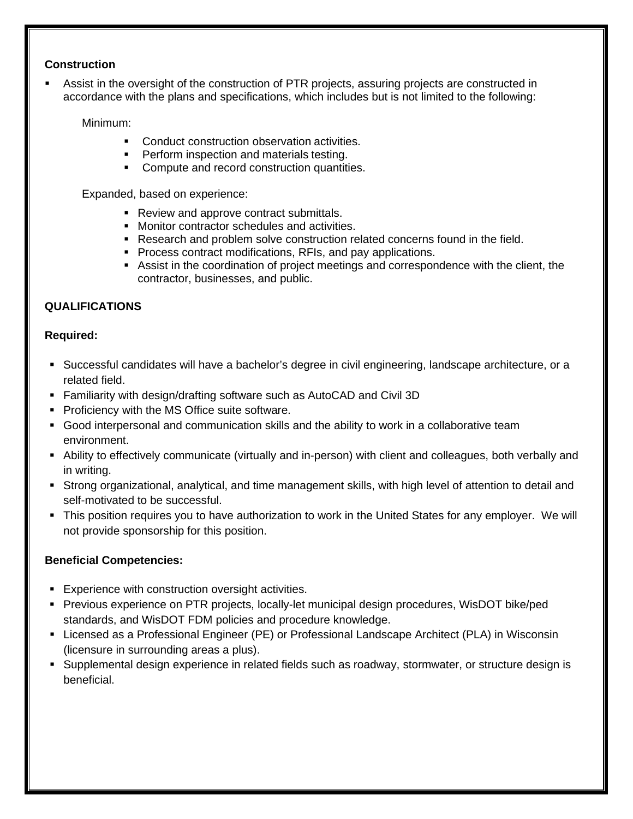#### **Construction**

 Assist in the oversight of the construction of PTR projects, assuring projects are constructed in accordance with the plans and specifications, which includes but is not limited to the following:

Minimum:

- Conduct construction observation activities.
- **Perform inspection and materials testing.**
- Compute and record construction quantities.

Expanded, based on experience:

- Review and approve contract submittals.
- Monitor contractor schedules and activities.
- Research and problem solve construction related concerns found in the field.
- **Process contract modifications, RFIs, and pay applications.**
- Assist in the coordination of project meetings and correspondence with the client, the contractor, businesses, and public.

#### **QUALIFICATIONS**

#### **Required:**

- Successful candidates will have a bachelor's degree in civil engineering, landscape architecture, or a related field.
- Familiarity with design/drafting software such as AutoCAD and Civil 3D
- **Proficiency with the MS Office suite software.**
- Good interpersonal and communication skills and the ability to work in a collaborative team environment.
- Ability to effectively communicate (virtually and in-person) with client and colleagues, both verbally and in writing.
- Strong organizational, analytical, and time management skills, with high level of attention to detail and self-motivated to be successful.
- This position requires you to have authorization to work in the United States for any employer. We will not provide sponsorship for this position.

#### **Beneficial Competencies:**

- **Experience with construction oversight activities.**
- Previous experience on PTR projects, locally-let municipal design procedures, WisDOT bike/ped standards, and WisDOT FDM policies and procedure knowledge.
- Licensed as a Professional Engineer (PE) or Professional Landscape Architect (PLA) in Wisconsin (licensure in surrounding areas a plus).
- Supplemental design experience in related fields such as roadway, stormwater, or structure design is beneficial.